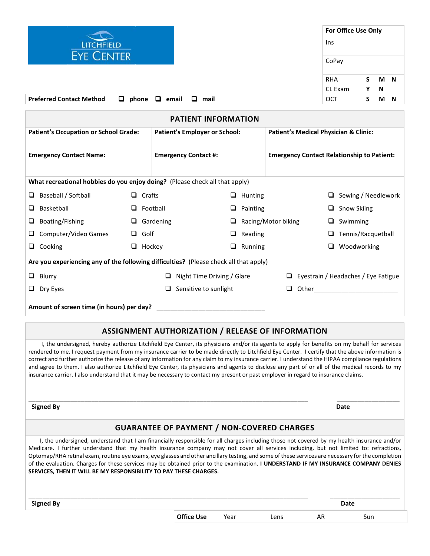

| <b>PATIENT INFORMATION</b>                                                            |               |                                      |   |                     |                                                   |                                            |   |                            |
|---------------------------------------------------------------------------------------|---------------|--------------------------------------|---|---------------------|---------------------------------------------------|--------------------------------------------|---|----------------------------|
| <b>Patient's Occupation or School Grade:</b>                                          |               | <b>Patient's Employer or School:</b> |   |                     | <b>Patient's Medical Physician &amp; Clinic:</b>  |                                            |   |                            |
|                                                                                       |               |                                      |   |                     |                                                   |                                            |   |                            |
| <b>Emergency Contact Name:</b>                                                        |               | <b>Emergency Contact #:</b>          |   |                     | <b>Emergency Contact Relationship to Patient:</b> |                                            |   |                            |
| What recreational hobbies do you enjoy doing? (Please check all that apply)           |               |                                      |   |                     |                                                   |                                            |   |                            |
| Baseball / Softball<br>□                                                              | $\Box$ Crafts |                                      | □ | Hunting             |                                                   |                                            |   | $\Box$ Sewing / Needlework |
| Basketball<br>⊔                                                                       |               | $\Box$ Football                      | □ | Painting            |                                                   |                                            | u | <b>Snow Skiing</b>         |
| Boating/Fishing<br>u                                                                  | □             | Gardening                            | □ | Racing/Motor biking |                                                   |                                            | u | Swimming                   |
| Computer/Video Games                                                                  | Golf          |                                      | □ | Reading             |                                                   |                                            |   | Tennis/Racquetball         |
| Cooking<br>⊔                                                                          | $\Box$ Hockey |                                      | □ | Running             |                                                   |                                            |   | Woodworking                |
| Are you experiencing any of the following difficulties? (Please check all that apply) |               |                                      |   |                     |                                                   |                                            |   |                            |
| $\Box$ Blurry                                                                         |               | Night Time Driving / Glare<br>ப      |   |                     |                                                   | $\Box$ Eyestrain / Headaches / Eye Fatigue |   |                            |
| $\Box$ Dry Eyes                                                                       |               | Sensitive to sunlight                |   |                     | u.                                                |                                            |   |                            |
| Amount of screen time (in hours) per day?                                             |               |                                      |   |                     |                                                   |                                            |   |                            |

## **ASSIGNMENT AUTHORIZATION / RELEASE OF INFORMATION**

 I, the undersigned, hereby authorize Litchfield Eye Center, its physicians and/or its agents to apply for benefits on my behalf for services rendered to me. I request payment from my insurance carrier to be made directly to Litchfield Eye Center. I certify that the above information is correct and further authorize the release of any information for any claim to my insurance carrier. I understand the HIPAA compliance regulations and agree to them. I also authorize Litchfield Eye Center, its physicians and agents to disclose any part of or all of the medical records to my insurance carrier. I also understand that it may be necessary to contact my present or past employer in regard to insurance claims.

**Signed By Date** 

## **GUARANTEE OF PAYMENT / NON-COVERED CHARGES**

 $\Box$ 

 I, the undersigned, understand that I am financially responsible for all charges including those not covered by my health insurance and/or Medicare. I further understand that my health insurance company may not cover all services including, but not limited to: refractions, Optomap/RHA retinal exam, routine eye exams, eye glasses and other ancillary testing, and some of these services are necessary for the completion of the evaluation. Charges for these services may be obtained prior to the examination. **I UNDERSTAND IF MY INSURANCE COMPANY DENIES SERVICES, THEN IT WILL BE MY RESPONSIBILITY TO PAY THESE CHARGES.**

| <b>Signed By</b> |                   |      |      |    | Date |
|------------------|-------------------|------|------|----|------|
|                  | <b>Office Use</b> | Year | Lens | AR | Sun  |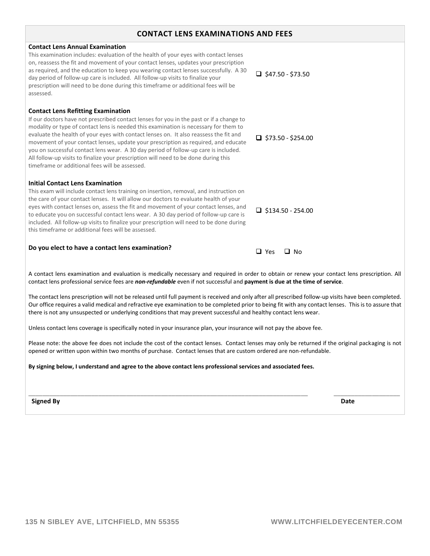| <b>CONTACT LENS EXAMINATIONS AND FEES</b>                                                                                                                                                                                                                                                                                                                                                                                                                                                                                                                                                                                                   |                           |  |  |  |
|---------------------------------------------------------------------------------------------------------------------------------------------------------------------------------------------------------------------------------------------------------------------------------------------------------------------------------------------------------------------------------------------------------------------------------------------------------------------------------------------------------------------------------------------------------------------------------------------------------------------------------------------|---------------------------|--|--|--|
| <b>Contact Lens Annual Examination</b><br>This examination includes: evaluation of the health of your eyes with contact lenses<br>on, reassess the fit and movement of your contact lenses, updates your prescription<br>as required, and the education to keep you wearing contact lenses successfully. A 30<br>day period of follow-up care is included. All follow-up visits to finalize your<br>prescription will need to be done during this timeframe or additional fees will be<br>assessed.                                                                                                                                         | $\Box$ \$47.50 - \$73.50  |  |  |  |
| <b>Contact Lens Refitting Examination</b><br>If our doctors have not prescribed contact lenses for you in the past or if a change to<br>modality or type of contact lens is needed this examination is necessary for them to<br>evaluate the health of your eyes with contact lenses on. It also reassess the fit and<br>movement of your contact lenses, update your prescription as required, and educate<br>you on successful contact lens wear. A 30 day period of follow-up care is included.<br>All follow-up visits to finalize your prescription will need to be done during this<br>timeframe or additional fees will be assessed. | $\Box$ \$73.50 - \$254.00 |  |  |  |
| <b>Initial Contact Lens Examination</b><br>This exam will include contact lens training on insertion, removal, and instruction on<br>the care of your contact lenses. It will allow our doctors to evaluate health of your<br>eyes with contact lenses on, assess the fit and movement of your contact lenses, and<br>to educate you on successful contact lens wear. A 30 day period of follow-up care is<br>included. All follow-up visits to finalize your prescription will need to be done during<br>this timeframe or additional fees will be assessed.                                                                               | $\Box$ \$134.50 - 254.00  |  |  |  |
| Do you elect to have a contact lens examination?                                                                                                                                                                                                                                                                                                                                                                                                                                                                                                                                                                                            | $\Box$ Yes<br>$\Box$ No   |  |  |  |

A contact lens examination and evaluation is medically necessary and required in order to obtain or renew your contact lens prescription. All contact lens professional service fees are *non-refundable* even if not successful and **payment is due at the time of service**.

The contact lens prescription will not be released until full payment is received and only after all prescribed follow-up visits have been completed. Our office requires a valid medical and refractive eye examination to be completed prior to being fit with any contact lenses. This is to assure that there is not any unsuspected or underlying conditions that may prevent successful and healthy contact lens wear.

Unless contact lens coverage is specifically noted in your insurance plan, your insurance will not pay the above fee.

Please note: the above fee does not include the cost of the contact lenses. Contact lenses may only be returned if the original packaging is not opened or written upon within two months of purchase. Contact lenses that are custom ordered are non-refundable.

\_\_\_\_\_\_\_\_\_\_\_\_\_\_\_\_\_\_\_\_\_\_\_\_\_\_\_\_\_\_\_\_\_\_\_\_\_\_\_\_\_\_\_\_\_\_\_\_\_\_\_\_\_\_\_\_\_\_\_\_\_\_\_\_\_\_\_\_\_\_\_\_\_\_\_\_\_\_\_\_ \_\_\_\_\_\_\_\_\_\_\_\_\_\_\_\_\_\_\_

## **By signing below, I understand and agree to the above contact lens professional services and associated fees.**

**Signed By Date**